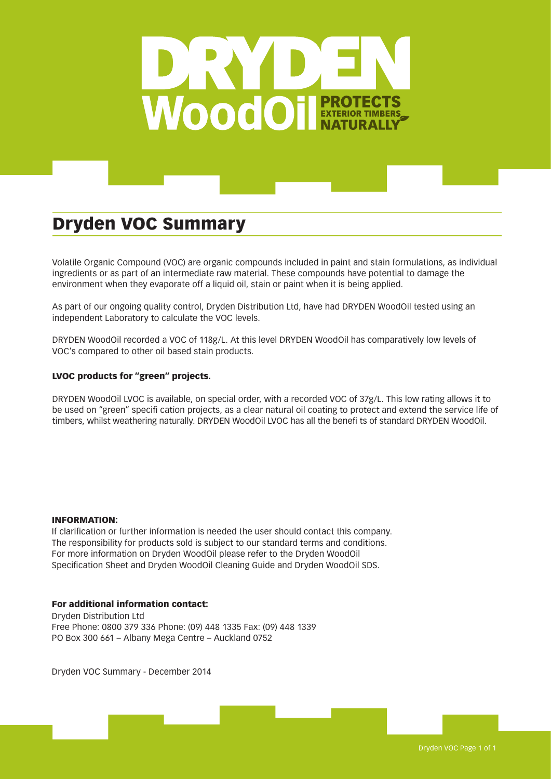

# Dryden VOC Summary

Volatile Organic Compound (VOC) are organic compounds included in paint and stain formulations, as individual ingredients or as part of an intermediate raw material. These compounds have potential to damage the environment when they evaporate off a liquid oil, stain or paint when it is being applied.

As part of our ongoing quality control, Dryden Distribution Ltd, have had DRYDEN WoodOil tested using an independent Laboratory to calculate the VOC levels.

DRYDEN WoodOil recorded a VOC of 118g/L. At this level DRYDEN WoodOil has comparatively low levels of VOC's compared to other oil based stain products.

### LVOC products for "green" projects.

DRYDEN WoodOil LVOC is available, on special order, with a recorded VOC of 37g/L. This low rating allows it to be used on "green" specifi cation projects, as a clear natural oil coating to protect and extend the service life of timbers, whilst weathering naturally. DRYDEN WoodOil LVOC has all the benefi ts of standard DRYDEN WoodOil.

#### INFORMATION:

If clarification or further information is needed the user should contact this company. The responsibility for products sold is subject to our standard terms and conditions. For more information on Dryden WoodOil please refer to the Dryden WoodOil Specification Sheet and Dryden WoodOil Cleaning Guide and Dryden WoodOil SDS.

#### For additional information contact:

Dryden Distribution Ltd Free Phone: 0800 379 336 Phone: (09) 448 1335 Fax: (09) 448 1339 PO Box 300 661 – Albany Mega Centre – Auckland 0752

Dryden VOC Summary - December 2014